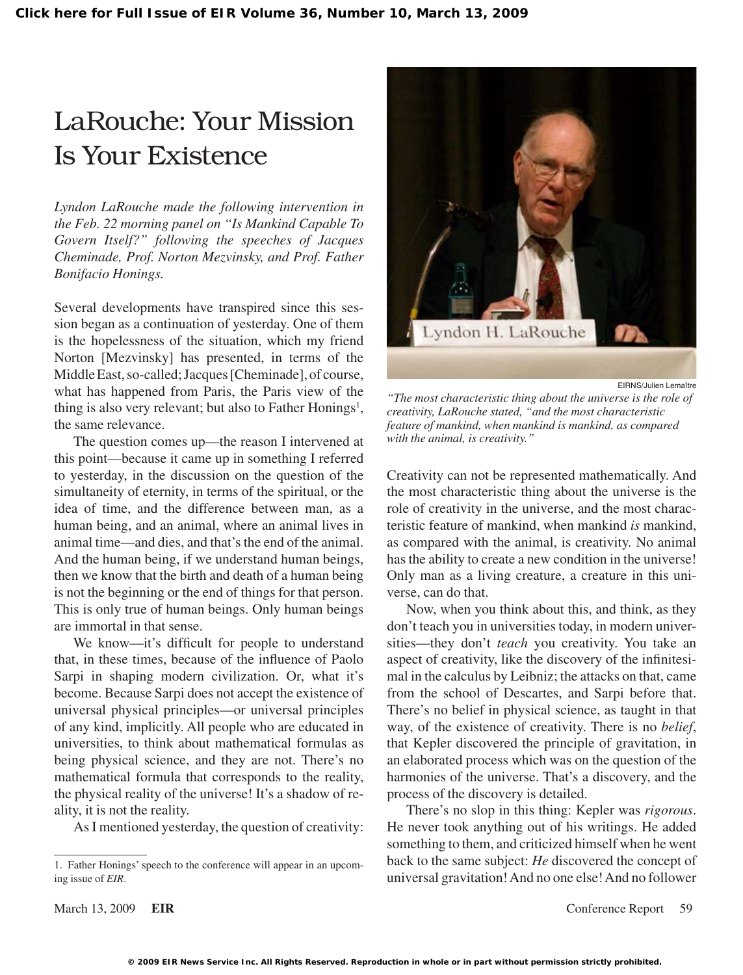# LaRouche: Your Mission Is Your Existence

*Lyndon LaRouche made the following intervention in the Feb. 22 morning panel on "Is Mankind Capable To Govern Itself?" following the speeches of Jacques Cheminade, Prof. Norton Mezvinsky, and Prof. Father Bonifacio Honings.*

Several developments have transpired since this session began as a continuation of yesterday. One of them is the hopelessness of the situation, which my friend Norton [Mezvinsky] has presented, in terms of the Middle East, so-called; Jacques [Cheminade], of course, what has happened from Paris, the Paris view of the thing is also very relevant; but also to Father Honings<sup>1</sup>, the same relevance.

The question comes up—the reason I intervened at this point—because it came up in something I referred to yesterday, in the discussion on the question of the simultaneity of eternity, in terms of the spiritual, or the idea of time, and the difference between man, as a human being, and an animal, where an animal lives in animal time—and dies, and that'sthe end of the animal. And the human being, if we understand human beings, then we know that the birth and death of a human being is not the beginning or the end of things for that person. This is only true of human beings. Only human beings are immortal in that sense.

We know—it's difficult for people to understand that, in these times, because of the influence of Paolo Sarpi in shaping modern civilization. Or, what it's become. Because Sarpi does not accept the existence of universal physical principles—or universal principles of any kind, implicitly. All people who are educated in universities, to think about mathematical formulas as being physical science, and they are not. There's no mathematical formula that corresponds to the reality, the physical reality of the universe! It's a shadow of reality, it is not the reality.

AsI mentioned yesterday, the question of creativity:



EIRNS/Julien Lemaître

*"The most characteristic thing about the universe is the role of creativity, LaRouche stated, "and the most characteristic feature of mankind, when mankind is mankind, as compared with the animal, is creativity."*

Creativity can not be represented mathematically. And the most characteristic thing about the universe is the role of creativity in the universe, and the most characteristic feature of mankind, when mankind *is* mankind, as compared with the animal, is creativity. No animal has the ability to create a new condition in the universe! Only man as a living creature, a creature in this universe, can do that.

Now, when you think about this, and think, as they don't teach you in universities today, in modern universities—they don't *teach* you creativity. You take an aspect of creativity, like the discovery of the infinitesimal in the calculus by Leibniz; the attacks on that, came from the school of Descartes, and Sarpi before that. There's no belief in physical science, as taught in that way, of the existence of creativity. There is no *belief*, that Kepler discovered the principle of gravitation, in an elaborated process which was on the question of the harmonies of the universe. That's a discovery, and the process of the discovery is detailed.

There's no slop in this thing: Kepler was *rigorous*. He never took anything out of his writings. He added something to them, and criticized himself when he went back to the same subject: *He* discovered the concept of universal gravitation!And no one else!And no follower

<sup>1.</sup> Father Honings'speech to the conference will appear in an upcoming issue of *EIR*.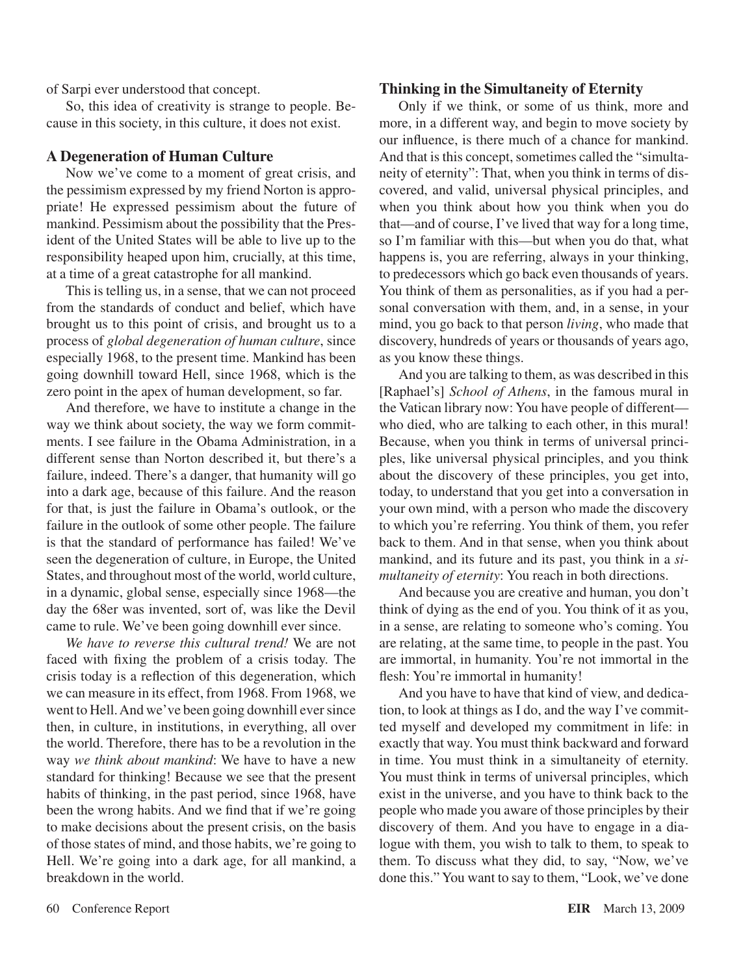of Sarpi ever understood that concept.

So, this idea of creativity is strange to people. Because in this society, in this culture, it does not exist.

#### **A Degeneration of Human Culture**

Now we've come to a moment of great crisis, and the pessimism expressed by my friend Norton is appropriate! He expressed pessimism about the future of mankind. Pessimism about the possibility that the President of the United States will be able to live up to the responsibility heaped upon him, crucially, at this time, at a time of a great catastrophe for all mankind.

This is telling us, in a sense, that we can not proceed from the standards of conduct and belief, which have brought us to this point of crisis, and brought us to a process of *global degeneration of human culture*, since especially 1968, to the present time. Mankind has been going downhill toward Hell, since 1968, which is the zero point in the apex of human development, so far.

And therefore, we have to institute a change in the way we think about society, the way we form commitments. I see failure in the Obama Administration, in a different sense than Norton described it, but there's a failure, indeed. There's a danger, that humanity will go into a dark age, because of this failure. And the reason for that, is just the failure in Obama's outlook, or the failure in the outlook of some other people. The failure is that the standard of performance has failed! We've seen the degeneration of culture, in Europe, the United States, and throughout most of the world, world culture, in a dynamic, global sense, especially since 1968—the day the 68er was invented, sort of, was like the Devil came to rule. We've been going downhill ever since.

*We have to reverse this cultural trend!* We are not faced with fixing the problem of a crisis today. The crisis today is a reflection of this degeneration, which we can measure in its effect, from 1968. From 1968, we went to Hell. And we've been going downhill ever since then, in culture, in institutions, in everything, all over the world. Therefore, there has to be a revolution in the way *we think about mankind*: We have to have a new standard for thinking! Because we see that the present habits of thinking, in the past period, since 1968, have been the wrong habits. And we find that if we're going to make decisions about the present crisis, on the basis of those states of mind, and those habits, we're going to Hell. We're going into a dark age, for all mankind, a breakdown in the world.

#### **Thinking in the Simultaneity of Eternity**

Only if we think, or some of us think, more and more, in a different way, and begin to move society by our influence, is there much of a chance for mankind. And that is this concept, sometimes called the "simultaneity of eternity": That, when you think in terms of discovered, and valid, universal physical principles, and when you think about how you think when you do that—and of course, I've lived that way for a long time, so I'm familiar with this—but when you do that, what happens is, you are referring, always in your thinking, to predecessors which go back even thousands of years. You think of them as personalities, as if you had a personal conversation with them, and, in a sense, in your mind, you go back to that person *living*, who made that discovery, hundreds of years or thousands of years ago, as you know these things.

And you are talking to them, as was described in this [Raphael's] *School of Athens*, in the famous mural in the Vatican library now: You have people of different who died, who are talking to each other, in this mural! Because, when you think in terms of universal principles, like universal physical principles, and you think about the discovery of these principles, you get into, today, to understand that you get into a conversation in your own mind, with a person who made the discovery to which you're referring. You think of them, you refer back to them. And in that sense, when you think about mankind, and its future and its past, you think in a *simultaneity of eternity*: You reach in both directions.

And because you are creative and human, you don't think of dying as the end of you. You think of it as you, in a sense, are relating to someone who's coming. You are relating, at the same time, to people in the past. You are immortal, in humanity. You're not immortal in the flesh: You're immortal in humanity!

And you have to have that kind of view, and dedication, to look at things as I do, and the way I've committed myself and developed my commitment in life: in exactly that way. You must think backward and forward in time. You must think in a simultaneity of eternity. You must think in terms of universal principles, which exist in the universe, and you have to think back to the people who made you aware of those principles by their discovery of them. And you have to engage in a dialogue with them, you wish to talk to them, to speak to them. To discuss what they did, to say, "Now, we've done this." You want to say to them, "Look, we've done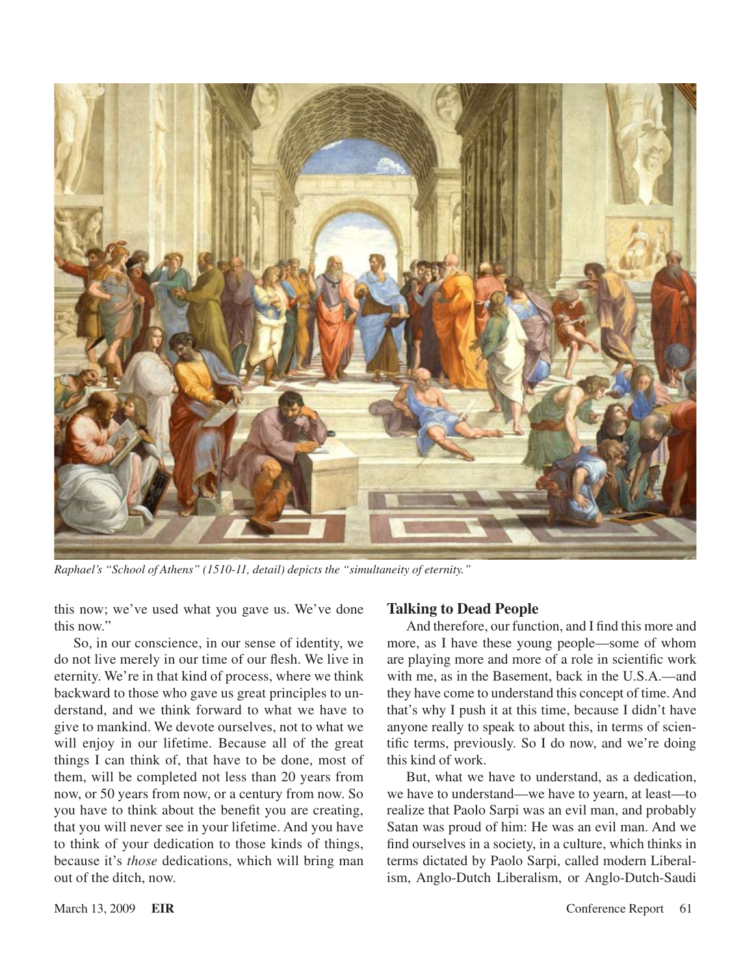

*Raphael's "School of Athens" (1510-11, detail) depicts the "simultaneity of eternity."*

this now; we've used what you gave us. We've done this now."

So, in our conscience, in our sense of identity, we do not live merely in our time of our flesh. We live in eternity. We're in that kind of process, where we think backward to those who gave us great principles to understand, and we think forward to what we have to give to mankind. We devote ourselves, not to what we will enjoy in our lifetime. Because all of the great things I can think of, that have to be done, most of them, will be completed not less than 20 years from now, or 50 years from now, or a century from now. So you have to think about the benefit you are creating, that you will never see in your lifetime. And you have to think of your dedication to those kinds of things, because it's *those* dedications, which will bring man out of the ditch, now.

#### **Talking to Dead People**

And therefore, our function, and I find this more and more, as I have these young people—some of whom are playing more and more of a role in scientific work with me, as in the Basement, back in the U.S.A.—and they have come to understand this concept of time.And that's why I push it at this time, because I didn't have anyone really to speak to about this, in terms of scientific terms, previously. So I do now, and we're doing this kind of work.

But, what we have to understand, as a dedication, we have to understand—we have to yearn, at least—to realize that Paolo Sarpi was an evil man, and probably Satan was proud of him: He was an evil man. And we find ourselves in a society, in a culture, which thinks in terms dictated by Paolo Sarpi, called modern Liberalism, Anglo-Dutch Liberalism, or Anglo-Dutch-Saudi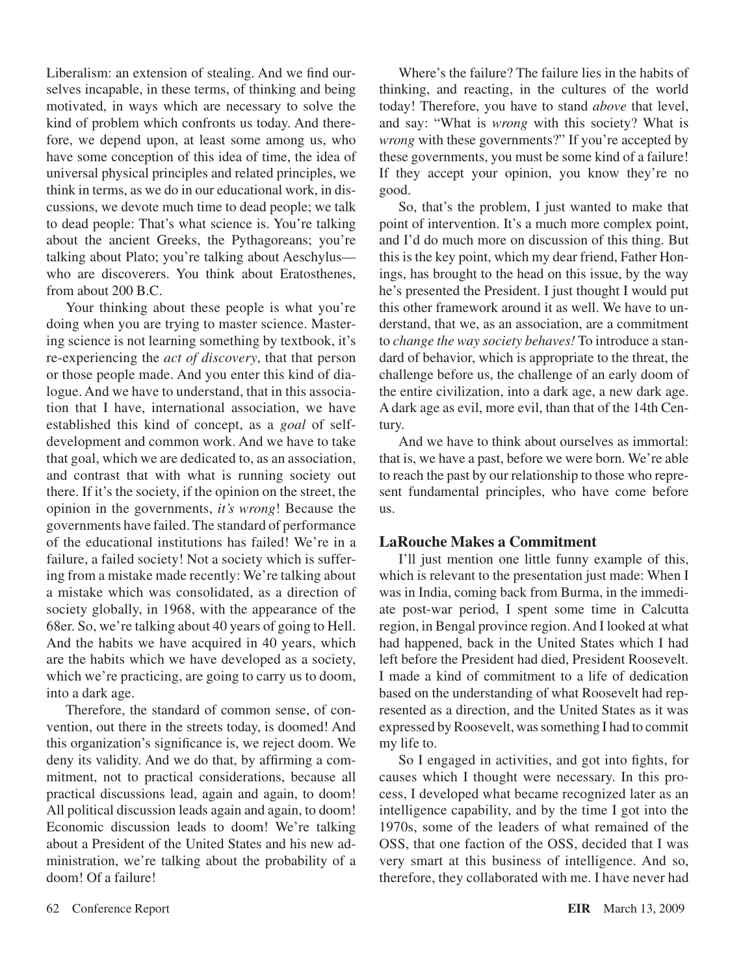Liberalism: an extension of stealing. And we find ourselves incapable, in these terms, of thinking and being motivated, in ways which are necessary to solve the kind of problem which confronts us today. And therefore, we depend upon, at least some among us, who have some conception of this idea of time, the idea of universal physical principles and related principles, we think in terms, as we do in our educational work, in discussions, we devote much time to dead people; we talk to dead people: That's what science is. You're talking about the ancient Greeks, the Pythagoreans; you're talking about Plato; you're talking about Aeschylus who are discoverers. You think about Eratosthenes, from about 200 B.C.

Your thinking about these people is what you're doing when you are trying to master science. Mastering science is not learning something by textbook, it's re-experiencing the *act of discovery*, that that person or those people made. And you enter this kind of dialogue. And we have to understand, that in this association that I have, international association, we have established this kind of concept, as a *goal* of selfdevelopment and common work. And we have to take that goal, which we are dedicated to, as an association, and contrast that with what is running society out there. If it's the society, if the opinion on the street, the opinion in the governments, *it's wrong*! Because the governments have failed. The standard of performance of the educational institutions has failed! We're in a failure, a failed society! Not a society which is suffering from a mistake made recently: We're talking about a mistake which was consolidated, as a direction of society globally, in 1968, with the appearance of the 68er. So, we're talking about 40 years of going to Hell. And the habits we have acquired in 40 years, which are the habits which we have developed as a society, which we're practicing, are going to carry us to doom, into a dark age.

Therefore, the standard of common sense, of convention, out there in the streets today, is doomed! And this organization's significance is, we reject doom. We deny its validity. And we do that, by affirming a commitment, not to practical considerations, because all practical discussions lead, again and again, to doom! All political discussion leads again and again, to doom! Economic discussion leads to doom! We're talking about a President of the United States and his new administration, we're talking about the probability of a doom! Of a failure!

Where's the failure? The failure lies in the habits of thinking, and reacting, in the cultures of the world today! Therefore, you have to stand *above* that level, and say: "What is *wrong* with this society? What is *wrong* with these governments?" If you're accepted by these governments, you must be some kind of a failure! If they accept your opinion, you know they're no good.

So, that's the problem, I just wanted to make that point of intervention. It's a much more complex point, and I'd do much more on discussion of this thing. But this is the key point, which my dear friend, Father Honings, has brought to the head on this issue, by the way he's presented the President. I just thought I would put this other framework around it as well. We have to understand, that we, as an association, are a commitment to *change the way society behaves!* To introduce a standard of behavior, which is appropriate to the threat, the challenge before us, the challenge of an early doom of the entire civilization, into a dark age, a new dark age. A dark age as evil, more evil, than that of the 14th Century.

And we have to think about ourselves as immortal: that is, we have a past, before we were born. We're able to reach the past by our relationship to those who represent fundamental principles, who have come before us.

### **LaRouche Makes a Commitment**

I'll just mention one little funny example of this, which is relevant to the presentation just made: When I was in India, coming back from Burma, in the immediate post-war period, I spent some time in Calcutta region, in Bengal province region.And I looked at what had happened, back in the United States which I had left before the President had died, President Roosevelt. I made a kind of commitment to a life of dedication based on the understanding of what Roosevelt had represented as a direction, and the United States as it was expressed by Roosevelt, was something I had to commit my life to.

So I engaged in activities, and got into fights, for causes which I thought were necessary. In this process, I developed what became recognized later as an intelligence capability, and by the time I got into the 1970s, some of the leaders of what remained of the OSS, that one faction of the OSS, decided that I was very smart at this business of intelligence. And so, therefore, they collaborated with me. I have never had